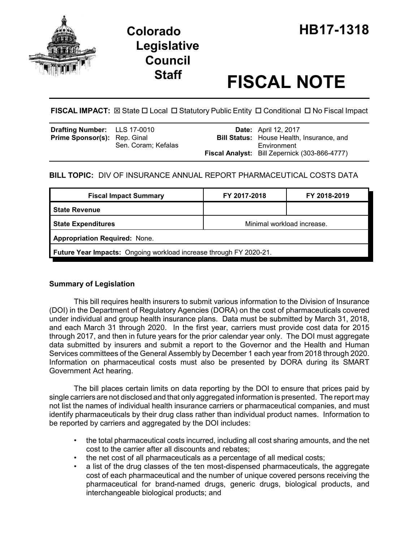



# **Staff FISCAL NOTE**

**FISCAL IMPACT:** ⊠ State □ Local □ Statutory Public Entity □ Conditional □ No Fiscal Impact

| <b>Drafting Number:</b> LLS 17-0010 |                     | <b>Date:</b> April 12, 2017                          |
|-------------------------------------|---------------------|------------------------------------------------------|
| Prime Sponsor(s): Rep. Ginal        |                     | <b>Bill Status:</b> House Health, Insurance, and     |
|                                     | Sen. Coram; Kefalas | Environment                                          |
|                                     |                     | <b>Fiscal Analyst:</b> Bill Zepernick (303-866-4777) |

# **BILL TOPIC:** DIV OF INSURANCE ANNUAL REPORT PHARMACEUTICAL COSTS DATA

| <b>Fiscal Impact Summary</b>                                              | FY 2017-2018               | FY 2018-2019 |  |  |  |
|---------------------------------------------------------------------------|----------------------------|--------------|--|--|--|
| <b>State Revenue</b>                                                      |                            |              |  |  |  |
| <b>State Expenditures</b>                                                 | Minimal workload increase. |              |  |  |  |
| <b>Appropriation Required: None.</b>                                      |                            |              |  |  |  |
| <b>Future Year Impacts:</b> Ongoing workload increase through FY 2020-21. |                            |              |  |  |  |

# **Summary of Legislation**

This bill requires health insurers to submit various information to the Division of Insurance (DOI) in the Department of Regulatory Agencies (DORA) on the cost of pharmaceuticals covered under individual and group health insurance plans. Data must be submitted by March 31, 2018, and each March 31 through 2020. In the first year, carriers must provide cost data for 2015 through 2017, and then in future years for the prior calendar year only. The DOI must aggregate data submitted by insurers and submit a report to the Governor and the Health and Human Services committees of the General Assembly by December 1 each year from 2018 through 2020. Information on pharmaceutical costs must also be presented by DORA during its SMART Government Act hearing.

The bill places certain limits on data reporting by the DOI to ensure that prices paid by single carriers are not disclosed and that only aggregated information is presented. The report may not list the names of individual health insurance carriers or pharmaceutical companies, and must identify pharmaceuticals by their drug class rather than individual product names. Information to be reported by carriers and aggregated by the DOI includes:

- the total pharmaceutical costs incurred, including all cost sharing amounts, and the net cost to the carrier after all discounts and rebates;
- the net cost of all pharmaceuticals as a percentage of all medical costs;
- a list of the drug classes of the ten most-dispensed pharmaceuticals, the aggregate cost of each pharmaceutical and the number of unique covered persons receiving the pharmaceutical for brand-named drugs, generic drugs, biological products, and interchangeable biological products; and